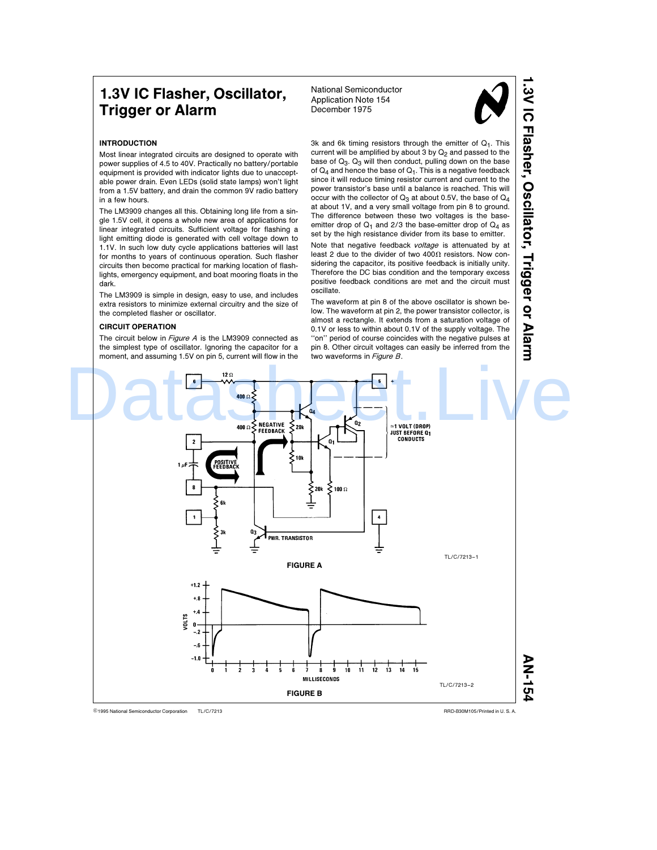# 1.3V IC Flasher, Oscillator, Trigger or Alarm

National Semiconductor Application Note 154 December 1975



1.3V IC Flasher,

Oscillator,

Trigger or Alarm

# INTRODUCTION

Most linear integrated circuits are designed to operate with power supplies of 4.5 to 40V. Practically no battery/portable equipment is provided with indicator lights due to unacceptable power drain. Even LEDs (solid state lamps) won't light from a 1.5V battery, and drain the common 9V radio battery in a few hours.

The LM3909 changes all this. Obtaining long life from a single 1.5V cell, it opens a whole new area of applications for linear integrated circuits. Sufficient voltage for flashing a light emitting diode is generated with cell voltage down to 1.1V. In such low duty cycle applications batteries will last for months to years of continuous operation. Such flasher circuits then become practical for marking location of flashlights, emergency equipment, and boat mooring floats in the dark.

The LM3909 is simple in design, easy to use, and includes extra resistors to minimize external circuitry and the size of the completed flasher or oscillator.

# CIRCUIT OPERATION

The circuit below in  $Figure A$  is the LM3909 connected as the simplest type of oscillator. Ignoring the capacitor for a moment, and assuming 1.5V on pin 5, current will flow in the 3k and 6k timing resistors through the emitter of  $Q_1$ . This current will be amplified by about  $3$  by  $Q_2$  and passed to the base of  $Q_3$ .  $Q_3$  will then conduct, pulling down on the base of  $Q_4$  and hence the base of  $Q_1$ . This is a negative feedback since it will reduce timing resistor current and current to the power transistor's base until a balance is reached. This will occur with the collector of  $Q_3$  at about 0.5V, the base of  $Q_4$ at about 1V, and a very small voltage from pin 8 to ground. The difference between these two voltages is the baseemitter drop of  $Q_1$  and 2/3 the base-emitter drop of  $Q_4$  as set by the high resistance divider from its base to emitter.

Note that negative feedback voltage is attenuated by at least 2 due to the divider of two 400 $\Omega$  resistors. Now considering the capacitor, its positive feedback is initially unity. Therefore the DC bias condition and the temporary excess positive feedback conditions are met and the circuit must oscillate.

The waveform at pin 8 of the above oscillator is shown below. The waveform at pin 2, the power transistor collector, is almost a rectangle. It extends from a saturation voltage of 0.1V or less to within about 0.1V of the supply voltage. The "on" period of course coincides with the negative pulses at pin 8. Other circuit voltages can easily be inferred from the two waveforms in Figure B.

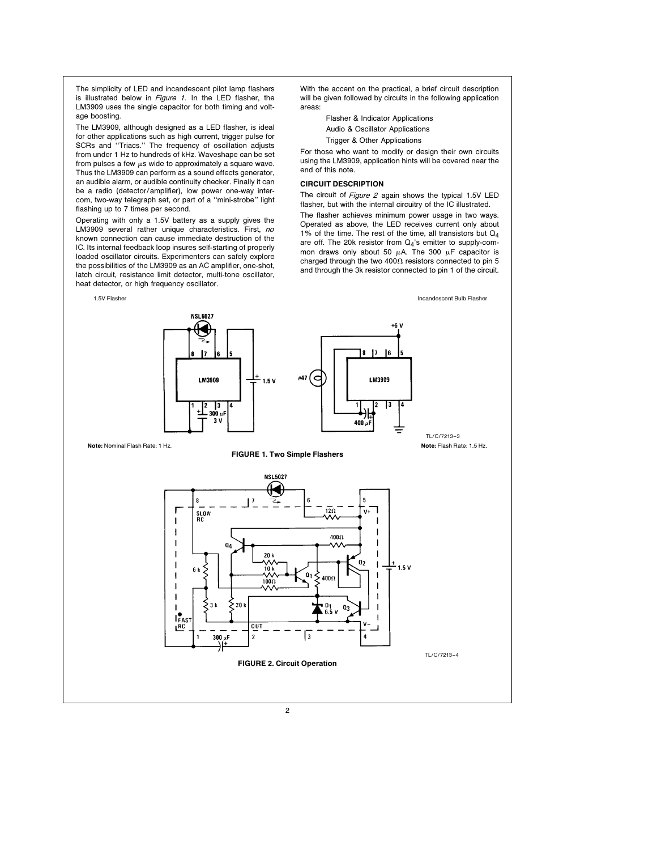The simplicity of LED and incandescent pilot lamp flashers is illustrated below in Figure 1. In the LED flasher, the LM3909 uses the single capacitor for both timing and voltage boosting.

The LM3909, although designed as a LED flasher, is ideal for other applications such as high current, trigger pulse for SCRs and ''Triacs.'' The frequency of oscillation adjusts from under 1 Hz to hundreds of kHz. Waveshape can be set from pulses a few  $\mu$ s wide to approximately a square wave. Thus the LM3909 can perform as a sound effects generator, an audible alarm, or audible continuity checker. Finally it can be a radio (detector/amplifier), low power one-way intercom, two-way telegraph set, or part of a ''mini-strobe'' light flashing up to 7 times per second.

Operating with only a 1.5V battery as a supply gives the LM3909 several rather unique characteristics. First, no known connection can cause immediate destruction of the IC. Its internal feedback loop insures self-starting of properly loaded oscillator circuits. Experimenters can safely explore the possibilities of the LM3909 as an AC amplifier, one-shot, latch circuit, resistance limit detector, multi-tone oscillator, heat detector, or high frequency oscillator.

With the accent on the practical, a brief circuit description will be given followed by circuits in the following application areas:

Flasher & Indicator Applications

Audio & Oscillator Applications

Trigger & Other Applications

For those who want to modify or design their own circuits using the LM3909, application hints will be covered near the end of this note.

## CIRCUIT DESCRIPTION

The circuit of Figure 2 again shows the typical 1.5V LED flasher, but with the internal circuitry of the IC illustrated.

The flasher achieves minimum power usage in two ways. Operated as above, the LED receives current only about 1% of the time. The rest of the time, all transistors but  $Q_4$ are off. The 20k resistor from  $Q_4$ 's emitter to supply-common draws only about 50  $\mu$ A. The 300  $\mu$ F capacitor is charged through the two 400 $\Omega$  resistors connected to pin 5 and through the 3k resistor connected to pin 1 of the circuit.

1.5V Flasher Incandescent Bulb Flasher **NSL5027** +6 V 817 -l6 E) #47 LM3909 LM3909  $1.5V$  $\frac{1}{3}$ ام 300  $3<sub>1</sub>$  $400 u$ TL/C/7213 –3 Note: Nominal Flash Rate: 1 Hz. Note: Flash Rate: 1.5 Hz. FIGURE 1. Two Simple Flashers **NSL5027**  $12\Omega$ SLOW<br>RC  $\mathbf{v}$ Ä۸  $\mathbf{I}$  $4000$  $\mathbf{I}$  $0<sub>0</sub>$  $\mathbf{I}$  $20k$  $0<sub>2</sub>$ W<br>10 k  $\mathbf{I}$ 1 1.5 V  $\alpha$  $\mathbf{I}$ 400s  $100\Omega$ ı Ŵ۸ -l 1 53 k  $>_{20}$  $\mathbf{D}$  $\mathbf{I}$  $Q_3$ 6.5 V  $\mathbf{L}$ <sub>FAS</sub>  $0<sub>U</sub>$  $\sqrt{3}$  $300 \ \mu F$ <sup>2</sup> TL/C/7213 –4 FIGURE 2. Circuit Operation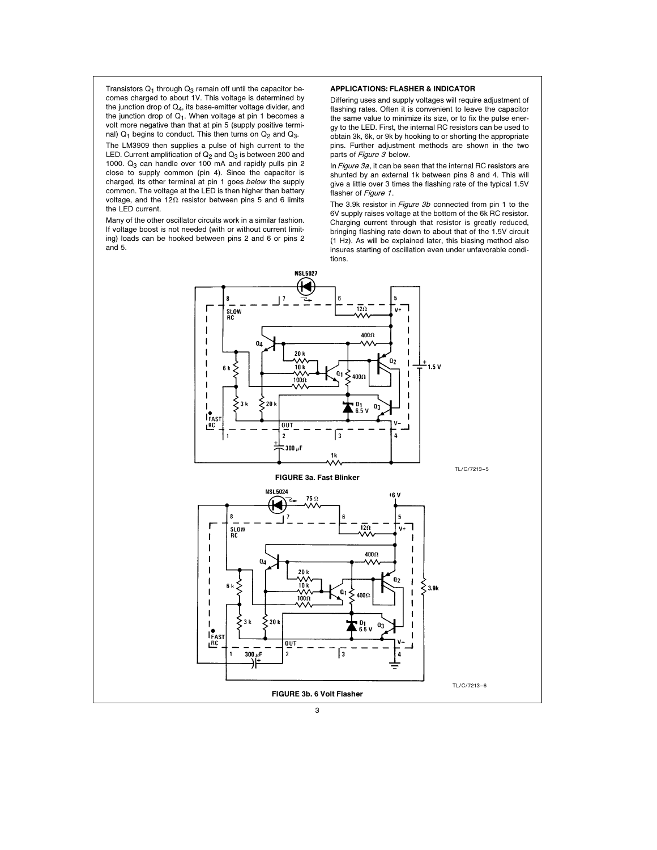Transistors  $Q_1$  through  $Q_3$  remain off until the capacitor becomes charged to about 1V. This voltage is determined by the junction drop of Q4, its base-emitter voltage divider, and the junction drop of  $Q_1$ . When voltage at pin 1 becomes a volt more negative than that at pin 5 (supply positive terminal)  $Q_1$  begins to conduct. This then turns on  $Q_2$  and  $Q_3$ . The LM3909 then supplies a pulse of high current to the

LED. Current amplification of  $Q_2$  and  $Q_3$  is between 200 and 1000.  $Q_3$  can handle over 100 mA and rapidly pulls pin 2 close to supply common (pin 4). Since the capacitor is charged, its other terminal at pin 1 goes below the supply common. The voltage at the LED is then higher than battery voltage, and the 12 $\Omega$  resistor between pins 5 and 6 limits the LED current.

Many of the other oscillator circuits work in a similar fashion. If voltage boost is not needed (with or without current limiting) loads can be hooked between pins 2 and 6 or pins 2 and 5.

# APPLICATIONS: FLASHER & INDICATOR

Differing uses and supply voltages will require adjustment of flashing rates. Often it is convenient to leave the capacitor the same value to minimize its size, or to fix the pulse energy to the LED. First, the internal RC resistors can be used to obtain 3k, 6k, or 9k by hooking to or shorting the appropriate pins. Further adjustment methods are shown in the two parts of Figure 3 below.

In Figure  $3a$ , it can be seen that the internal RC resistors are shunted by an external 1k between pins 8 and 4. This will give a little over 3 times the flashing rate of the typical 1.5V flasher of Figure 1.

The 3.9k resistor in Figure 3b connected from pin 1 to the 6V supply raises voltage at the bottom of the 6k RC resistor. Charging current through that resistor is greatly reduced, bringing flashing rate down to about that of the 1.5V circuit (1 Hz). As will be explained later, this biasing method also insures starting of oscillation even under unfavorable conditions.

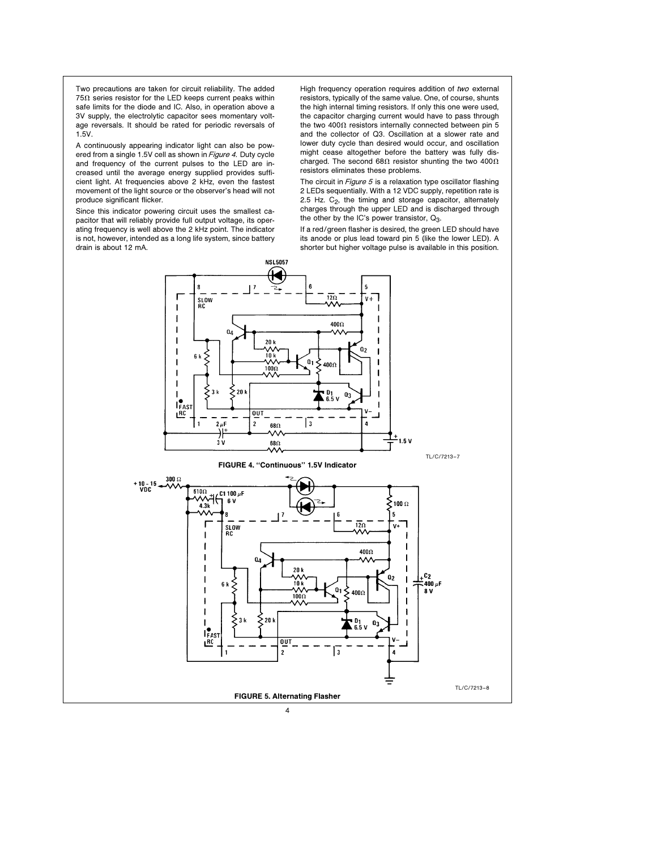Two precautions are taken for circuit reliability. The added  $75\Omega$  series resistor for the LED keeps current peaks within safe limits for the diode and IC. Also, in operation above a 3V supply, the electrolytic capacitor sees momentary voltage reversals. It should be rated for periodic reversals of 1.5V.

A continuously appearing indicator light can also be powered from a single 1.5V cell as shown in Figure 4. Duty cycle and frequency of the current pulses to the LED are increased until the average energy supplied provides sufficient light. At frequencies above 2 kHz, even the fastest movement of the light source or the observer's head will not produce significant flicker.

Since this indicator powering circuit uses the smallest capacitor that will reliably provide full output voltage, its operating frequency is well above the 2 kHz point. The indicator is not, however, intended as a long life system, since battery drain is about 12 mA.

High frequency operation requires addition of two external resistors, typically of the same value. One, of course, shunts the high internal timing resistors. If only this one were used, the capacitor charging current would have to pass through the two 400 $\Omega$  resistors internally connected between pin 5 and the collector of Q3. Oscillation at a slower rate and lower duty cycle than desired would occur, and oscillation might cease altogether before the battery was fully discharged. The second 68 $\Omega$  resistor shunting the two 400 $\Omega$ resistors eliminates these problems.

The circuit in *Figure 5* is a relaxation type oscillator flashing 2 LEDs sequentially. With a 12 VDC supply, repetition rate is 2.5 Hz.  $C_2$ , the timing and storage capacitor, alternately charges through the upper LED and is discharged through the other by the IC's power transistor,  $Q_3$ .



If a red/green flasher is desired, the green LED should have its anode or plus lead toward pin 5 (like the lower LED). A shorter but higher voltage pulse is available in this position.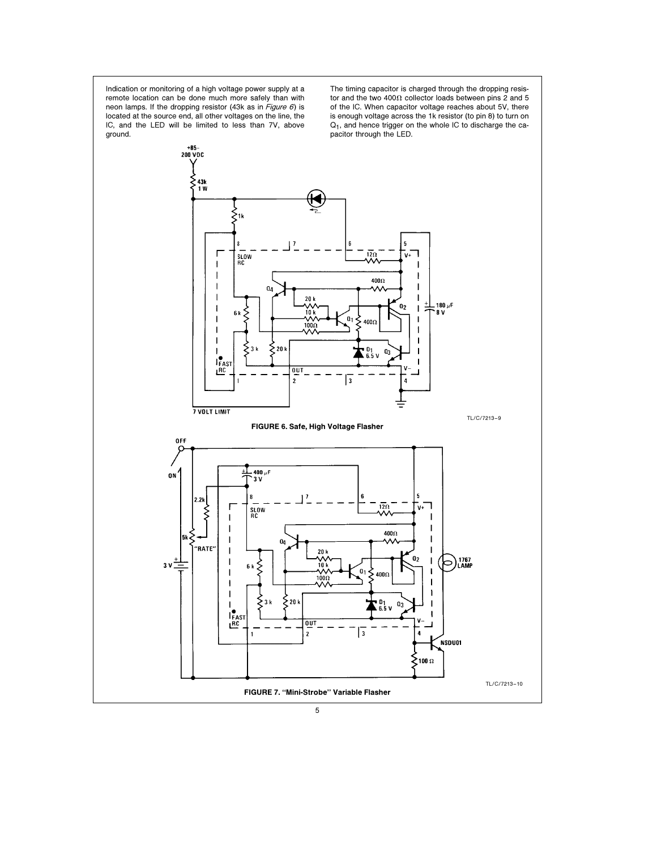Indication or monitoring of a high voltage power supply at a remote location can be done much more safely than with neon lamps. If the dropping resistor (43k as in Figure  $6$ ) is located at the source end, all other voltages on the line, the IC, and the LED will be limited to less than 7V, above ground.

The timing capacitor is charged through the dropping resistor and the two 400 $\Omega$  collector loads between pins 2 and 5 of the IC. When capacitor voltage reaches about 5V, there is enough voltage across the 1k resistor (to pin 8) to turn on Q1, and hence trigger on the whole IC to discharge the capacitor through the LED.

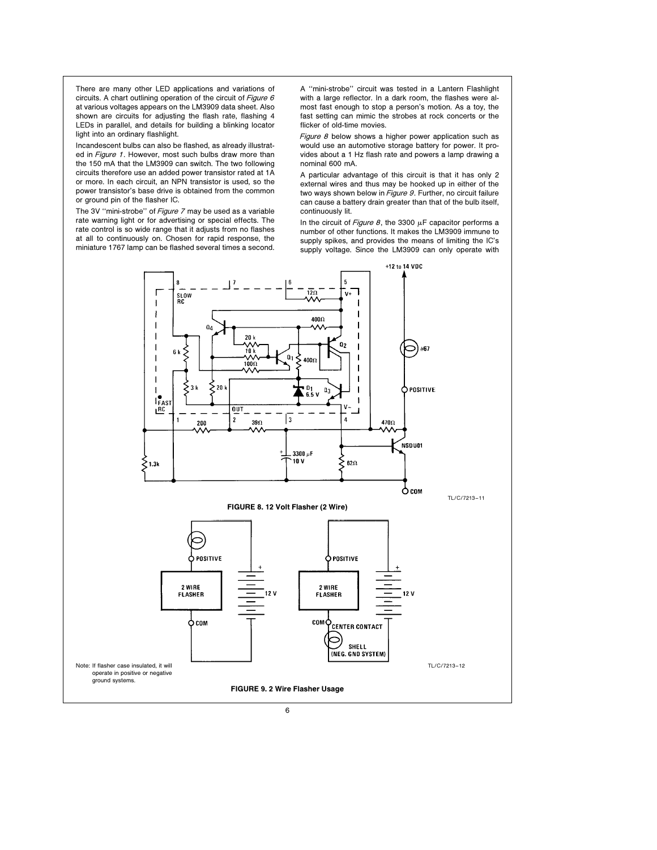There are many other LED applications and variations of circuits. A chart outlining operation of the circuit of Figure 6 at various voltages appears on the LM3909 data sheet. Also shown are circuits for adjusting the flash rate, flashing 4 LEDs in parallel, and details for building a blinking locator light into an ordinary flashlight.

Incandescent bulbs can also be flashed, as already illustrated in Figure 1. However, most such bulbs draw more than the 150 mA that the LM3909 can switch. The two following circuits therefore use an added power transistor rated at 1A or more. In each circuit, an NPN transistor is used, so the power transistor's base drive is obtained from the common or ground pin of the flasher IC.

The 3V "mini-strobe" of Figure 7 may be used as a variable rate warning light or for advertising or special effects. The rate control is so wide range that it adjusts from no flashes at all to continuously on. Chosen for rapid response, the miniature 1767 lamp can be flashed several times a second.

A ''mini-strobe'' circuit was tested in a Lantern Flashlight with a large reflector. In a dark room, the flashes were almost fast enough to stop a person's motion. As a toy, the fast setting can mimic the strobes at rock concerts or the flicker of old-time movies.

Figure  $8$  below shows a higher power application such as would use an automotive storage battery for power. It provides about a 1 Hz flash rate and powers a lamp drawing a nominal 600 mA.

A particular advantage of this circuit is that it has only 2 external wires and thus may be hooked up in either of the two ways shown below in Figure 9. Further, no circuit failure can cause a battery drain greater than that of the bulb itself, continuously lit.

In the circuit of Figure 8, the 3300  $\mu$ F capacitor performs a number of other functions. It makes the LM3909 immune to supply spikes, and provides the means of limiting the IC's supply voltage. Since the LM3909 can only operate with

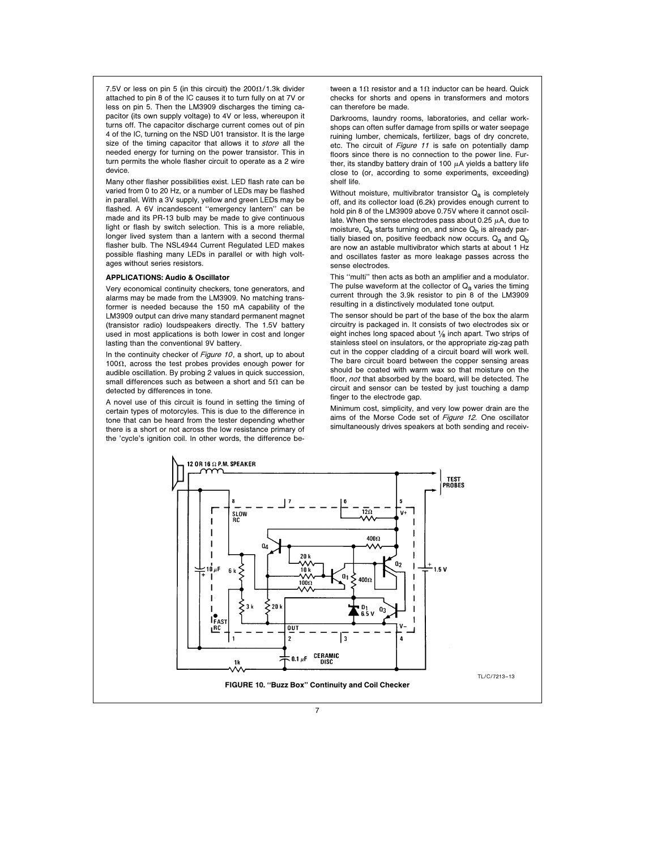7.5V or less on pin 5 (in this circuit) the  $200\Omega/1.3$ k divider attached to pin 8 of the IC causes it to turn fully on at 7V or less on pin 5. Then the LM3909 discharges the timing capacitor (its own supply voltage) to 4V or less, whereupon it turns off. The capacitor discharge current comes out of pin 4 of the IC, turning on the NSD U01 transistor. It is the large size of the timing capacitor that allows it to store all the needed energy for turning on the power transistor. This in turn permits the whole flasher circuit to operate as a 2 wire device.

Many other flasher possibilities exist. LED flash rate can be varied from 0 to 20 Hz, or a number of LEDs may be flashed in parallel. With a 3V supply, yellow and green LEDs may be flashed. A 6V incandescent ''emergency lantern'' can be made and its PR-13 bulb may be made to give continuous light or flash by switch selection. This is a more reliable, longer lived system than a lantern with a second thermal flasher bulb. The NSL4944 Current Regulated LED makes possible flashing many LEDs in parallel or with high voltages without series resistors.

#### APPLICATIONS: Audio & Oscillator

Very economical continuity checkers, tone generators, and alarms may be made from the LM3909. No matching transformer is needed because the 150 mA capability of the LM3909 output can drive many standard permanent magnet (transistor radio) loudspeakers directly. The 1.5V battery used in most applications is both lower in cost and longer lasting than the conventional 9V battery.

In the continuity checker of Figure 10, a short, up to about 100 $\Omega$ . across the test probes provides enough power for audible oscillation. By probing 2 values in quick succession, small differences such as between a short and  $5\Omega$  can be detected by differences in tone.

A novel use of this circuit is found in setting the timing of certain types of motorcyles. This is due to the difference in tone that can be heard from the tester depending whether there is a short or not across the low resistance primary of the 'cycle's ignition coil. In other words, the difference be-

tween a 1 $\Omega$  resistor and a 1 $\Omega$  inductor can be heard. Quick checks for shorts and opens in transformers and motors can therefore be made.

Darkrooms, laundry rooms, laboratories, and cellar workshops can often suffer damage from spills or water seepage ruining lumber, chemicals, fertilizer, bags of dry concrete, etc. The circuit of Figure 11 is safe on potentially damp floors since there is no connection to the power line. Further, its standby battery drain of 100  $\mu$ A yields a battery life close to (or, according to some experiments, exceeding) shelf life.

Without moisture, multivibrator transistor  $Q_{\rm a}$  is completely off, and its collector load (6.2k) provides enough current to hold pin 8 of the LM3909 above 0.75V where it cannot oscillate. When the sense electrodes pass about 0.25  $\mu$ A, due to moisture,  $Q_a$  starts turning on, and since  $Q_b$  is already partially biased on, positive feedback now occurs.  $Q_a$  and  $Q_b$ are now an astable multivibrator which starts at about 1 Hz and oscillates faster as more leakage passes across the sense electrodes.

This ''multi'' then acts as both an amplifier and a modulator. The pulse waveform at the collector of  $Q<sub>a</sub>$  varies the timing current through the 3.9k resistor to pin 8 of the LM3909 resulting in a distinctively modulated tone output.

The sensor should be part of the base of the box the alarm circuitry is packaged in. It consists of two electrodes six or eight inches long spaced about  $\frac{1}{8}$  inch apart. Two strips of stainless steel on insulators, or the appropriate zig-zag path cut in the copper cladding of a circuit board will work well. The bare circuit board between the copper sensing areas should be coated with warm wax so that moisture on the floor, not that absorbed by the board, will be detected. The circuit and sensor can be tested by just touching a damp finger to the electrode gap.

Minimum cost, simplicity, and very low power drain are the aims of the Morse Code set of Figure 12. One oscillator simultaneously drives speakers at both sending and receiv-

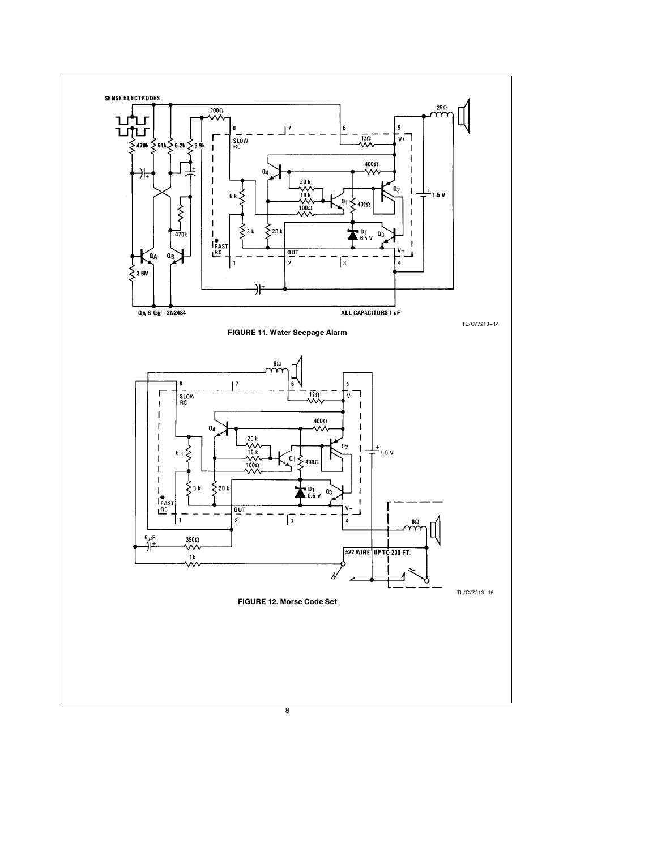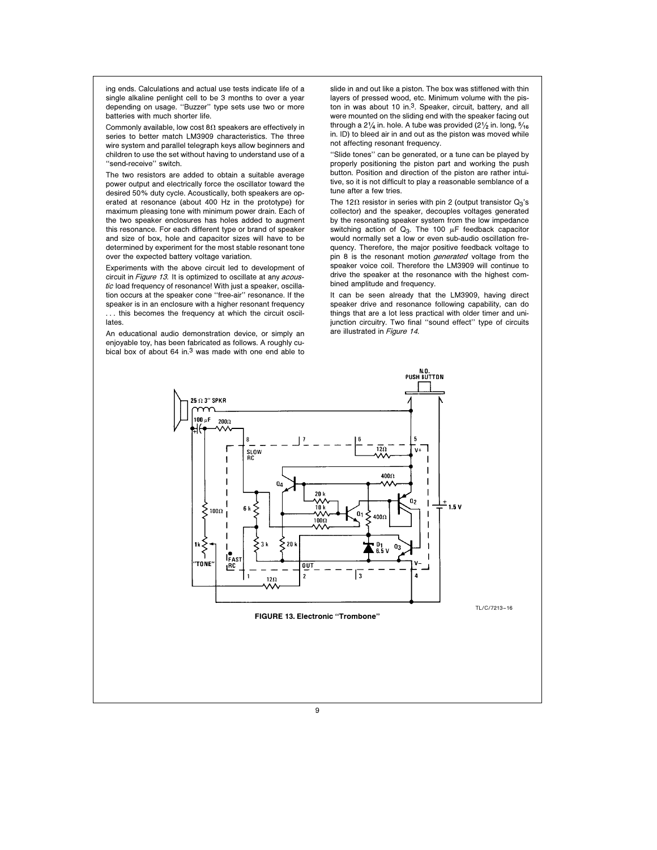ing ends. Calculations and actual use tests indicate life of a single alkaline penlight cell to be 3 months to over a year depending on usage. ''Buzzer'' type sets use two or more batteries with much shorter life.

Commonly available, low cost  $8\Omega$  speakers are effectively in series to better match LM3909 characteristics. The three wire system and parallel telegraph keys allow beginners and children to use the set without having to understand use of a "send-receive" switch.

The two resistors are added to obtain a suitable average power output and electrically force the oscillator toward the desired 50% duty cycle. Acoustically, both speakers are operated at resonance (about 400 Hz in the prototype) for maximum pleasing tone with minimum power drain. Each of the two speaker enclosures has holes added to augment this resonance. For each different type or brand of speaker and size of box, hole and capacitor sizes will have to be determined by experiment for the most stable resonant tone over the expected battery voltage variation.

Experiments with the above circuit led to development of circuit in Figure 13. It is optimized to oscillate at any acoustic load frequency of resonance! With just a speaker, oscillation occurs at the speaker cone ''free-air'' resonance. If the speaker is in an enclosure with a higher resonant frequency ... this becomes the frequency at which the circuit oscillates.

An educational audio demonstration device, or simply an enjoyable toy, has been fabricated as follows. A roughly cubical box of about 64 in.3 was made with one end able to

slide in and out like a piston. The box was stiffened with thin layers of pressed wood, etc. Minimum volume with the piston in was about 10 in.3. Speaker, circuit, battery, and all were mounted on the sliding end with the speaker facing out through a 2 $\frac{1}{4}$  in. hole. A tube was provided (2 $\frac{1}{2}$  in. long,  $\frac{5}{16}$ in. ID) to bleed air in and out as the piston was moved while not affecting resonant frequency.

''Slide tones'' can be generated, or a tune can be played by properly positioning the piston part and working the push button. Position and direction of the piston are rather intuitive, so it is not difficult to play a reasonable semblance of a tune after a few tries.

The 12 $\Omega$  resistor in series with pin 2 (output transistor  $Q_3$ 's collector) and the speaker, decouples voltages generated by the resonating speaker system from the low impedance switching action of  $Q_3$ . The 100  $\mu$ F feedback capacitor would normally set a low or even sub-audio oscillation frequency. Therefore, the major positive feedback voltage to pin 8 is the resonant motion *generated* voltage from the speaker voice coil. Therefore the LM3909 will continue to drive the speaker at the resonance with the highest combined amplitude and frequency.

It can be seen already that the LM3909, having direct speaker drive and resonance following capability, can do things that are a lot less practical with older timer and unijunction circuitry. Two final ''sound effect'' type of circuits are illustrated in Figure 14.

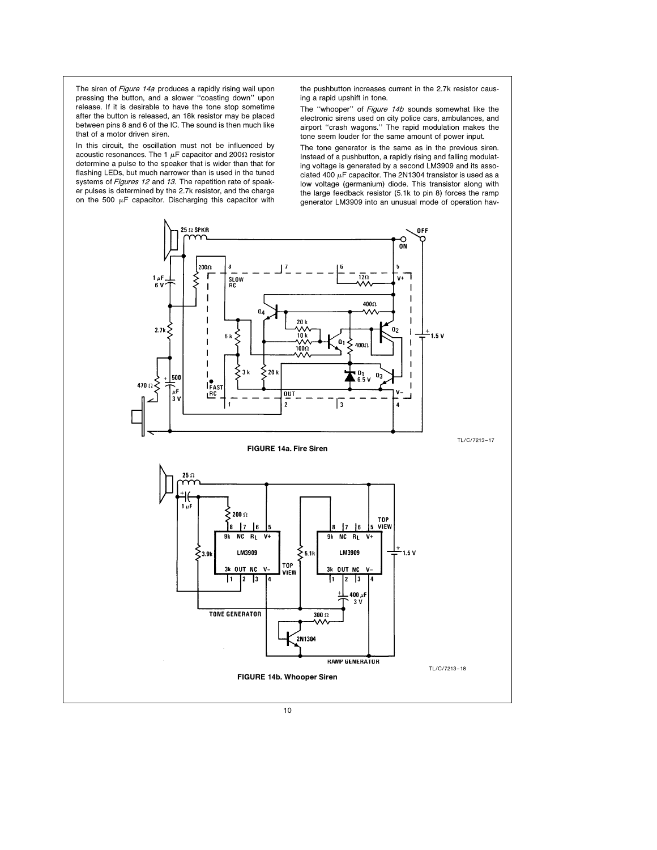The siren of Figure 14a produces a rapidly rising wail upon pressing the button, and a slower ''coasting down'' upon release. If it is desirable to have the tone stop sometime after the button is released, an 18k resistor may be placed between pins 8 and 6 of the IC. The sound is then much like that of a motor driven siren.

In this circuit, the oscillation must not be influenced by acoustic resonances. The 1  $\mu$ F capacitor and 200 $\Omega$  resistor determine a pulse to the speaker that is wider than that for flashing LEDs, but much narrower than is used in the tuned systems of Figures 12 and 13. The repetition rate of speaker pulses is determined by the 2.7k resistor, and the charge on the 500  $\mu$ F capacitor. Discharging this capacitor with the pushbutton increases current in the 2.7k resistor causing a rapid upshift in tone.

The "whooper" of Figure 14b sounds somewhat like the electronic sirens used on city police cars, ambulances, and airport ''crash wagons.'' The rapid modulation makes the tone seem louder for the same amount of power input.

The tone generator is the same as in the previous siren. Instead of a pushbutton, a rapidly rising and falling modulating voltage is generated by a second LM3909 and its associated 400  $\mu$ F capacitor. The 2N1304 transistor is used as a low voltage (germanium) diode. This transistor along with the large feedback resistor (5.1k to pin 8) forces the ramp generator LM3909 into an unusual mode of operation hav-

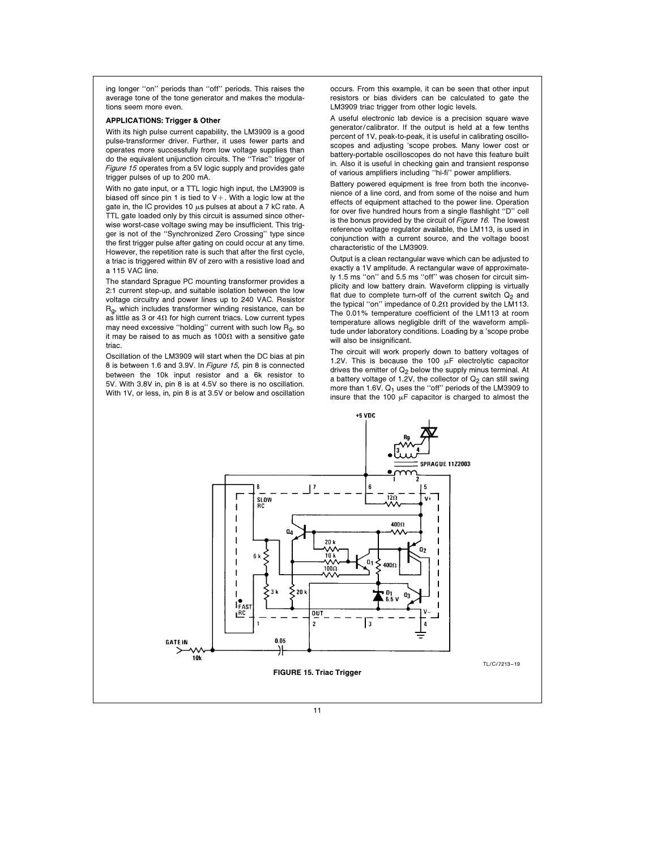ing longer ''on'' periods than ''off'' periods. This raises the average tone of the tone generator and makes the modulations seem more even.

#### APPLICATIONS: Trigger & Other

With its high pulse current capability, the LM3909 is a good pulse-transformer driver. Further, it uses fewer parts and operates more successfully from low voltage supplies than do the equivalent unijunction circuits. The ''Triac'' trigger of Figure <sup>15</sup> operates from a 5V logic supply and provides gate trigger pulses of up to 200 mA.

With no gate input, or a TTL logic high input, the LM3909 is biased off since pin 1 is tied to  $V+$ . With a logic low at the gate in, the IC provides 10  $\mu$ s pulses at about a 7 kC rate. A TTL gate loaded only by this circuit is assumed since otherwise worst-case voltage swing may be insufficient. This trigger is not of the ''Synchronized Zero Crossing'' type since the first trigger pulse after gating on could occur at any time. However, the repetition rate is such that after the first cycle, a triac is triggered within 8V of zero with a resistive load and a 115 VAC line.

The standard Sprague PC mounting transformer provides a 2:1 current step-up, and suitable isolation between the low voltage circuitry and power lines up to 240 VAC. Resistor  $R<sub>0</sub>$ , which includes transformer winding resistance, can be as little as 3 or 4 $\Omega$  for high current triacs. Low current types may need excessive "holding" current with such low  $R<sub>q</sub>$ , so it may be raised to as much as 100 $\Omega$  with a sensitive gate triac.

Oscillation of the LM3909 will start when the DC bias at pin 8 is between 1.6 and 3.9V. In Figure 15, pin 8 is connected between the 10k input resistor and a 6k resistor to 5V. With 3.8V in, pin 8 is at 4.5V so there is no oscillation. With 1V, or less, in, pin 8 is at 3.5V or below and oscillation occurs. From this example, it can be seen that other input resistors or bias dividers can be calculated to gate the LM3909 triac trigger from other logic levels.

A useful electronic lab device is a precision square wave generator/calibrator. If the output is held at a few tenths percent of 1V, peak-to-peak, it is useful in calibrating oscilloscopes and adjusting 'scope probes. Many lower cost or battery-portable oscilloscopes do not have this feature built in. Also it is useful in checking gain and transient response of various amplifiers including ''hi-fi'' power amplifiers.

Battery powered equipment is free from both the inconvenience of a line cord, and from some of the noise and hum effects of equipment attached to the power line. Operation for over five hundred hours from a single flashlight ''D'' cell is the bonus provided by the circuit of Figure 16. The lowest reference voltage regulator available, the LM113, is used in conjunction with a current source, and the voltage boost characteristic of the LM3909.

Output is a clean rectangular wave which can be adjusted to exactly a 1V amplitude. A rectangular wave of approximately 1.5 ms ''on'' and 5.5 ms ''off'' was chosen for circuit simplicity and low battery drain. Waveform clipping is virtually flat due to complete turn-off of the current switch  $Q_2$  and the typical "on" impedance of 0.2 $\Omega$  provided by the LM113. The 0.01% temperature coefficient of the LM113 at room temperature allows negligible drift of the waveform amplitude under laboratory conditions. Loading by a 'scope probe will also be insignificant.

The circuit will work properly down to battery voltages of 1.2V. This is because the 100  $\mu$ F electrolytic capacitor drives the emitter of  $Q_2$  below the supply minus terminal. At a battery voltage of 1.2V, the collector of  $Q_2$  can still swing more than 1.6V.  $Q_1$  uses the "off" periods of the LM3909 to insure that the 100  $\mu$ F capacitor is charged to almost the

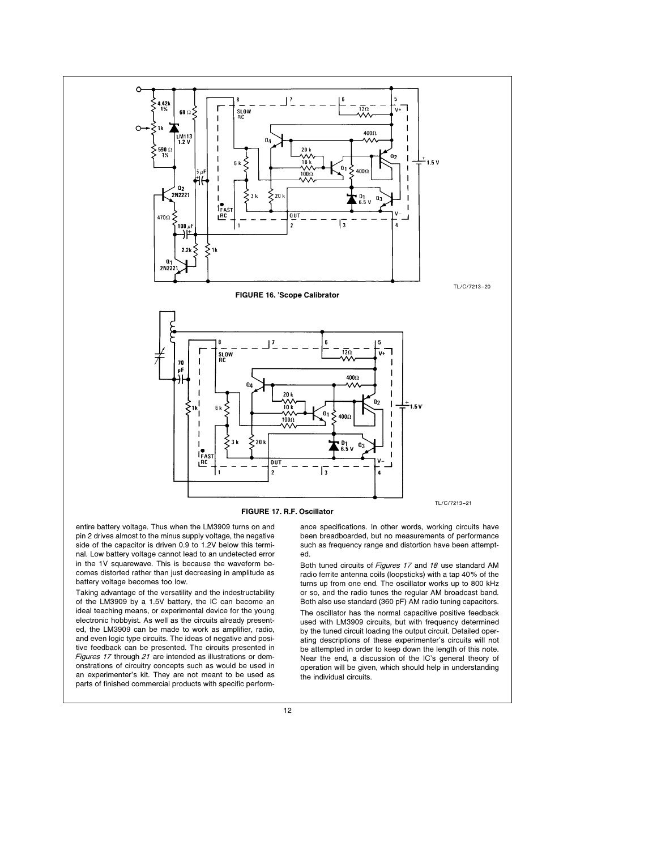

FIGURE 17. R.F. Oscillator

entire battery voltage. Thus when the LM3909 turns on and pin 2 drives almost to the minus supply voltage, the negative side of the capacitor is driven 0.9 to 1.2V below this terminal. Low battery voltage cannot lead to an undetected error in the 1V squarewave. This is because the waveform becomes distorted rather than just decreasing in amplitude as battery voltage becomes too low.

Taking advantage of the versatility and the indestructability of the LM3909 by a 1.5V battery, the IC can become an ideal teaching means, or experimental device for the young electronic hobbyist. As well as the circuits already presented, the LM3909 can be made to work as amplifier, radio, and even logic type circuits. The ideas of negative and positive feedback can be presented. The circuits presented in Figures 17 through 21 are intended as illustrations or demonstrations of circuitry concepts such as would be used in an experimenter's kit. They are not meant to be used as parts of finished commercial products with specific performance specifications. In other words, working circuits have been breadboarded, but no measurements of performance such as frequency range and distortion have been attempted.

Both tuned circuits of Figures <sup>17</sup> and 18 use standard AM radio ferrite antenna coils (loopsticks) with a tap 40% of the turns up from one end. The oscillator works up to 800 kHz or so, and the radio tunes the regular AM broadcast band. Both also use standard (360 pF) AM radio tuning capacitors. The oscillator has the normal capacitive positive feedback used with LM3909 circuits, but with frequency determined by the tuned circuit loading the output circuit. Detailed operating descriptions of these experimenter's circuits will not be attempted in order to keep down the length of this note. Near the end, a discussion of the IC's general theory of operation will be given, which should help in understanding the individual circuits.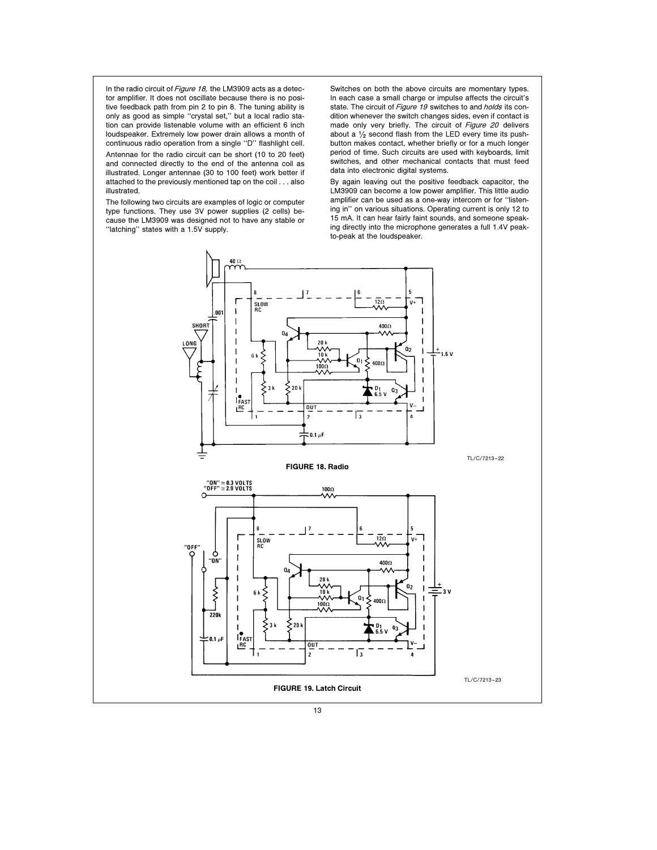In the radio circuit of Figure 18, the LM3909 acts as a detector amplifier. It does not oscillate because there is no positive feedback path from pin 2 to pin 8. The tuning ability is only as good as simple ''crystal set,'' but a local radio station can provide listenable volume with an efficient 6 inch loudspeaker. Extremely low power drain allows a month of continuous radio operation from a single ''D'' flashlight cell. Antennae for the radio circuit can be short (10 to 20 feet) and connected directly to the end of the antenna coil as illustrated. Longer antennae (30 to 100 feet) work better if attached to the previously mentioned tap on the coil . . . also illustrated.

The following two circuits are examples of logic or computer type functions. They use 3V power supplies (2 cells) because the LM3909 was designed not to have any stable or ''latching'' states with a 1.5V supply.

Switches on both the above circuits are momentary types. In each case a small charge or impulse affects the circuit's state. The circuit of Figure 19 switches to and holds its condition whenever the switch changes sides, even if contact is made only very briefly. The circuit of Figure 20 delivers about a  $\frac{1}{2}$  second flash from the LED every time its pushbutton makes contact, whether briefly or for a much longer period of time. Such circuits are used with keyboards, limit switches, and other mechanical contacts that must feed data into electronic digital systems.

By again leaving out the positive feedback capacitor, the LM3909 can become a low power amplifier. This little audio amplifier can be used as a one-way intercom or for ''listening in'' on various situations. Operating current is only 12 to 15 mA. It can hear fairly faint sounds, and someone speaking directly into the microphone generates a full 1.4V peakto-peak at the loudspeaker.

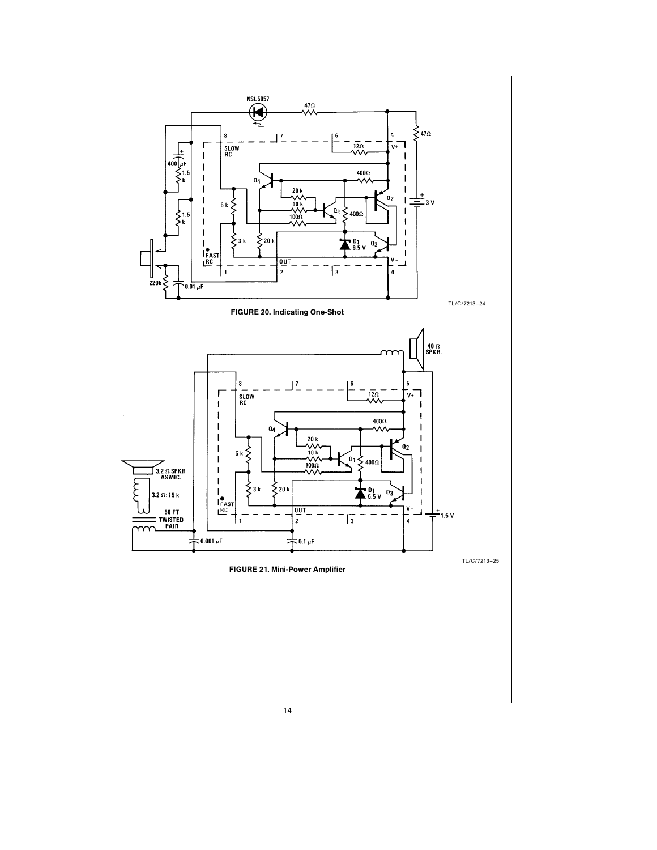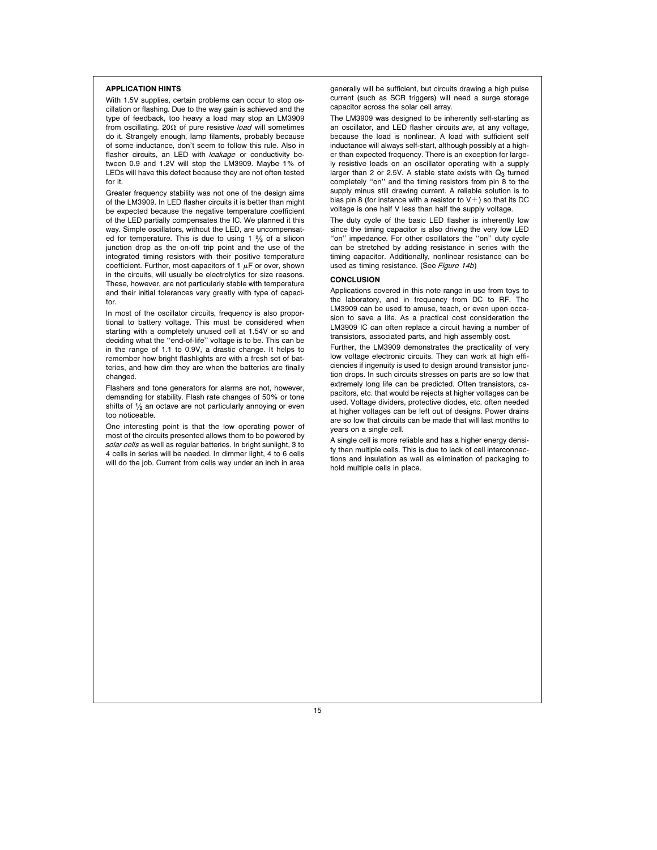# APPLICATION HINTS

With 1.5V supplies, certain problems can occur to stop oscillation or flashing. Due to the way gain is achieved and the type of feedback, too heavy a load may stop an LM3909 from oscillating. 20 $\Omega$  of pure resistive *load* will sometimes do it. Strangely enough, lamp filaments, probably because of some inductance, don't seem to follow this rule. Also in flasher circuits, an LED with *leakage* or conductivity between 0.9 and 1.2V will stop the LM3909. Maybe 1% of LEDs will have this defect because they are not often tested for it.

Greater frequency stability was not one of the design aims of the LM3909. In LED flasher circuits it is better than might be expected because the negative temperature coefficient of the LED partially compensates the IC. We planned it this way. Simple oscillators, without the LED, are uncompensated for temperature. This is due to using  $1 \frac{2}{3}$  of a silicon junction drop as the on-off trip point and the use of the integrated timing resistors with their positive temperature coefficient. Further, most capacitors of 1  $\mu$ F or over, shown in the circuits, will usually be electrolytics for size reasons. These, however, are not particularly stable with temperature and their initial tolerances vary greatly with type of capacitor.

In most of the oscillator circuits, frequency is also proportional to battery voltage. This must be considered when starting with a completely unused cell at 1.54V or so and deciding what the ''end-of-life'' voltage is to be. This can be in the range of 1.1 to 0.9V, a drastic change. It helps to remember how bright flashlights are with a fresh set of batteries, and how dim they are when the batteries are finally changed.

Flashers and tone generators for alarms are not, however, demanding for stability. Flash rate changes of 50% or tone shifts of  $\frac{1}{2}$  an octave are not particularly annoying or even too noticeable.

One interesting point is that the low operating power of most of the circuits presented allows them to be powered by solar cells as well as regular batteries. In bright sunlight, 3 to 4 cells in series will be needed. In dimmer light, 4 to 6 cells will do the job. Current from cells way under an inch in area

generally will be sufficient, but circuits drawing a high pulse current (such as SCR triggers) will need a surge storage capacitor across the solar cell array.

The LM3909 was designed to be inherently self-starting as an oscillator, and LED flasher circuits *are*, at any voltage, because the load is nonlinear. A load with sufficient self inductance will always self-start, although possibly at a higher than expected frequency. There is an exception for largely resistive loads on an oscillator operating with a supply larger than 2 or 2.5V. A stable state exists with  $Q_3$  turned completely ''on'' and the timing resistors from pin 8 to the supply minus still drawing current. A reliable solution is to bias pin 8 (for instance with a resistor to  $V+$ ) so that its DC voltage is one half V less than half the supply voltage.

The duty cycle of the basic LED flasher is inherently low since the timing capacitor is also driving the very low LED ''on'' impedance. For other oscillators the ''on'' duty cycle can be stretched by adding resistance in series with the timing capacitor. Additionally, nonlinear resistance can be used as timing resistance. (See Figure 14b)

### CONCLUSION

Applications covered in this note range in use from toys to the laboratory, and in frequency from DC to RF. The LM3909 can be used to amuse, teach, or even upon occasion to save a life. As a practical cost consideration the LM3909 IC can often replace a circuit having a number of transistors, associated parts, and high assembly cost.

Further, the LM3909 demonstrates the practicality of very low voltage electronic circuits. They can work at high efficiencies if ingenuity is used to design around transistor junction drops. In such circuits stresses on parts are so low that extremely long life can be predicted. Often transistors, capacitors, etc. that would be rejects at higher voltages can be used. Voltage dividers, protective diodes, etc. often needed at higher voltages can be left out of designs. Power drains are so low that circuits can be made that will last months to years on a single cell.

A single cell is more reliable and has a higher energy density then multiple cells. This is due to lack of cell interconnections and insulation as well as elimination of packaging to hold multiple cells in place.